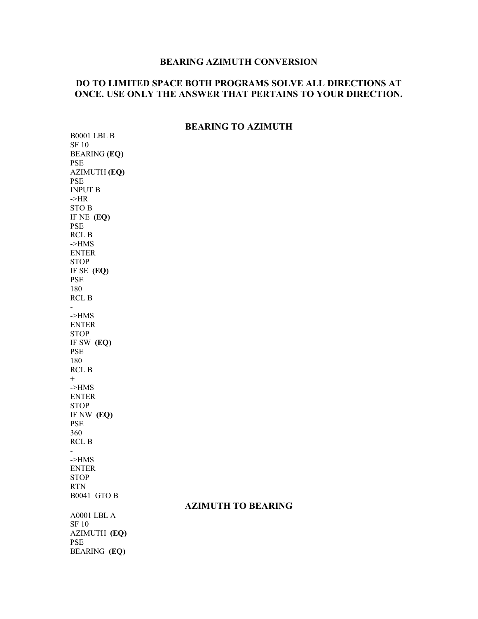## **BEARING AZIMUTH CONVERSION**

## **DO TO LIMITED SPACE BOTH PROGRAMS SOLVE ALL DIRECTIONS AT ONCE. USE ONLY THE ANSWER THAT PERTAINS TO YOUR DIRECTION.**

## **BEARING TO AZIMUTH**

**AZIMUTH TO BEARING** 

B0001 LBL B SF 10 BEARING **(EQ)**  PSE AZIMUTH **(EQ)** PSE INPUT B ->HR STO B IF NE **(EQ)** PSE RCL B ->HMS ENTER STOP IF SE **(EQ)** PSE 180 RCL B - ->HMS ENTER STOP IF SW **(EQ)** PSE 180 RCL B + ->HMS ENTER STOP IF NW **(EQ)** PSE 360 RCL B - ->HMS ENTER **STOP** RTN B0041 GTO B A0001 LBL A SF 10 AZIMUTH **(EQ)** PSE BEARING **(EQ)**